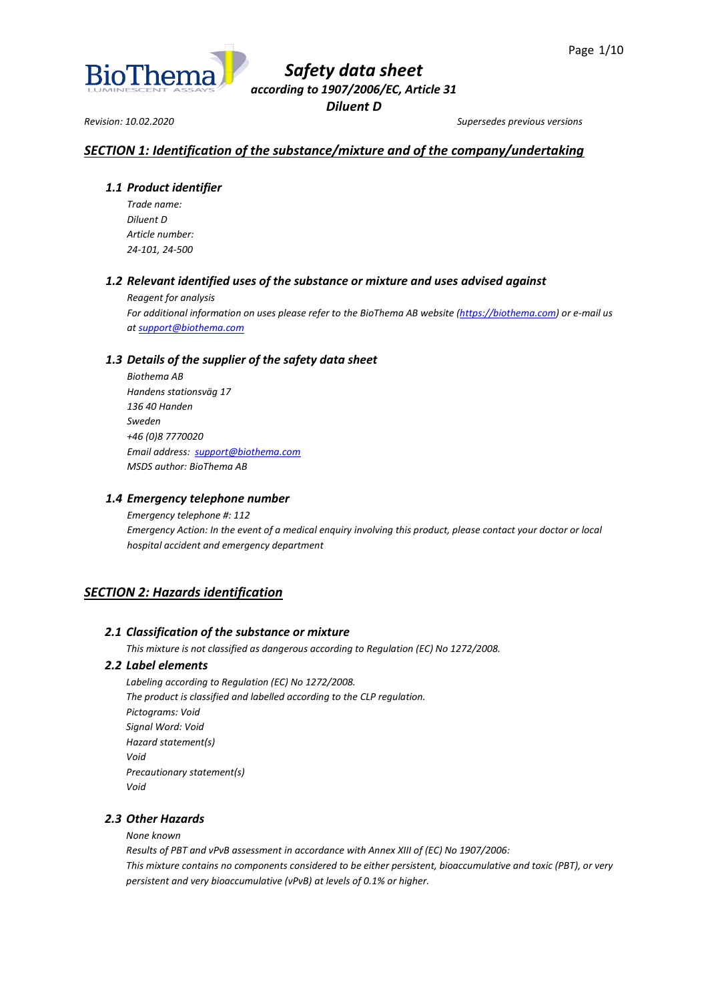

*Revision: 10.02.2020 Supersedes previous versions*

# *SECTION 1: Identification of the substance/mixture and of the company/undertaking*

## *1.1 Product identifier*

*Trade name: Diluent D Article number: 24-101, 24-500*

## *1.2 Relevant identified uses of the substance or mixture and uses advised against*

*Reagent for analysis*

*For additional information on uses please refer to the BioThema AB website [\(https://biothema.com\)](https://biothema.com/) or e-mail us a[t support@biothema.com](mailto:support@biothema.com)*

## *1.3 Details of the supplier of the safety data sheet*

*Biothema AB Handens stationsväg 17 136 40 Handen Sweden +46 (0)8 7770020 Email address: [support@biothema.com](mailto:support@biothema.com) MSDS author: BioThema AB*

## *1.4 Emergency telephone number*

*Emergency telephone #: 112 Emergency Action: In the event of a medical enquiry involving this product, please contact your doctor or local hospital accident and emergency department*

# *SECTION 2: Hazards identification*

## *2.1 Classification of the substance or mixture*

*This mixture is not classified as dangerous according to Regulation (EC) No 1272/2008.*

## *2.2 Label elements*

*Labeling according to Regulation (EC) No 1272/2008. The product is classified and labelled according to the CLP regulation. Pictograms: Void Signal Word: Void Hazard statement(s) Void Precautionary statement(s) Void*

## *2.3 Other Hazards*

*None known*

*Results of PBT and vPvB assessment in accordance with Annex XIII of (EC) No 1907/2006: This mixture contains no components considered to be either persistent, bioaccumulative and toxic (PBT), or very persistent and very bioaccumulative (vPvB) at levels of 0.1% or higher.*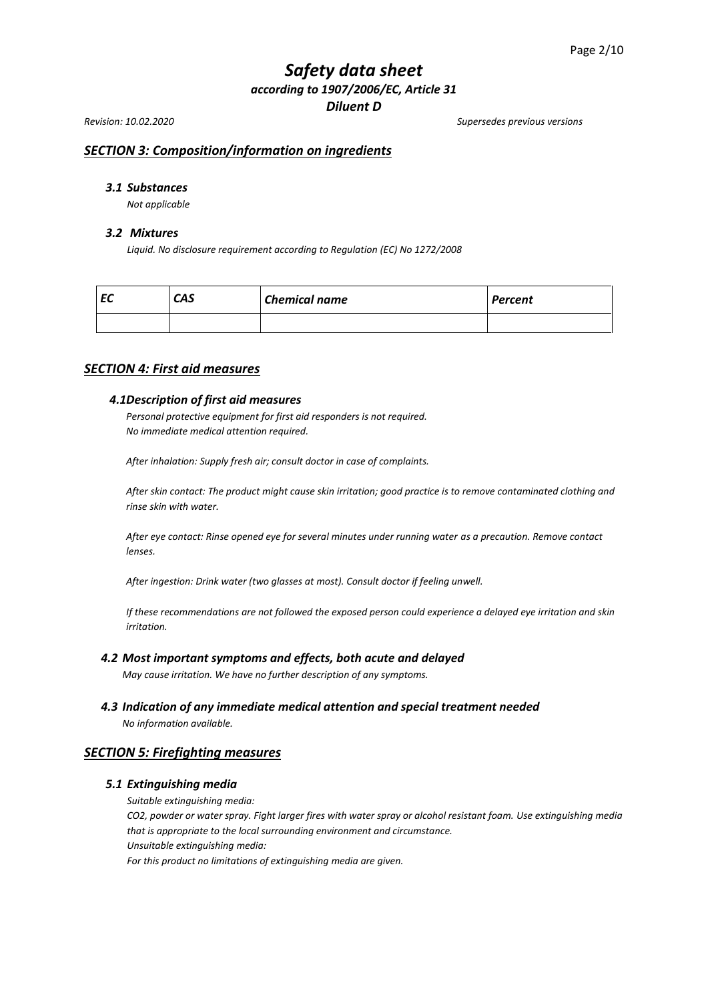*Revision: 10.02.2020 Supersedes previous versions*

## *SECTION 3: Composition/information on ingredients*

## *3.1 Substances*

*Not applicable*

#### *3.2 Mixtures*

*Liquid. No disclosure requirement according to Regulation (EC) No 1272/2008*

| c | <b>CAS</b> | <b>Chemical name</b> | <b>Percent</b> |
|---|------------|----------------------|----------------|
|   |            |                      |                |

## *SECTION 4: First aid measures*

#### *4.1Description of first aid measures*

*Personal protective equipment for first aid responders is not required. No immediate medical attention required.*

*After inhalation: Supply fresh air; consult doctor in case of complaints.*

*After skin contact: The product might cause skin irritation; good practice is to remove contaminated clothing and rinse skin with water.*

*After eye contact: Rinse opened eye for several minutes under running water as a precaution. Remove contact lenses.*

*After ingestion: Drink water (two glasses at most). Consult doctor if feeling unwell.*

*If these recommendations are not followed the exposed person could experience a delayed eye irritation and skin irritation.*

#### *4.2 Most important symptoms and effects, both acute and delayed*

*May cause irritation. We have no further description of any symptoms.*

*4.3 Indication of any immediate medical attention and special treatment needed*

*No information available.*

## *SECTION 5: Firefighting measures*

#### *5.1 Extinguishing media*

*Suitable extinguishing media:*

*CO2, powder or water spray. Fight larger fires with water spray or alcohol resistant foam. Use extinguishing media that is appropriate to the local surrounding environment and circumstance. Unsuitable extinguishing media:*

*For this product no limitations of extinguishing media are given.*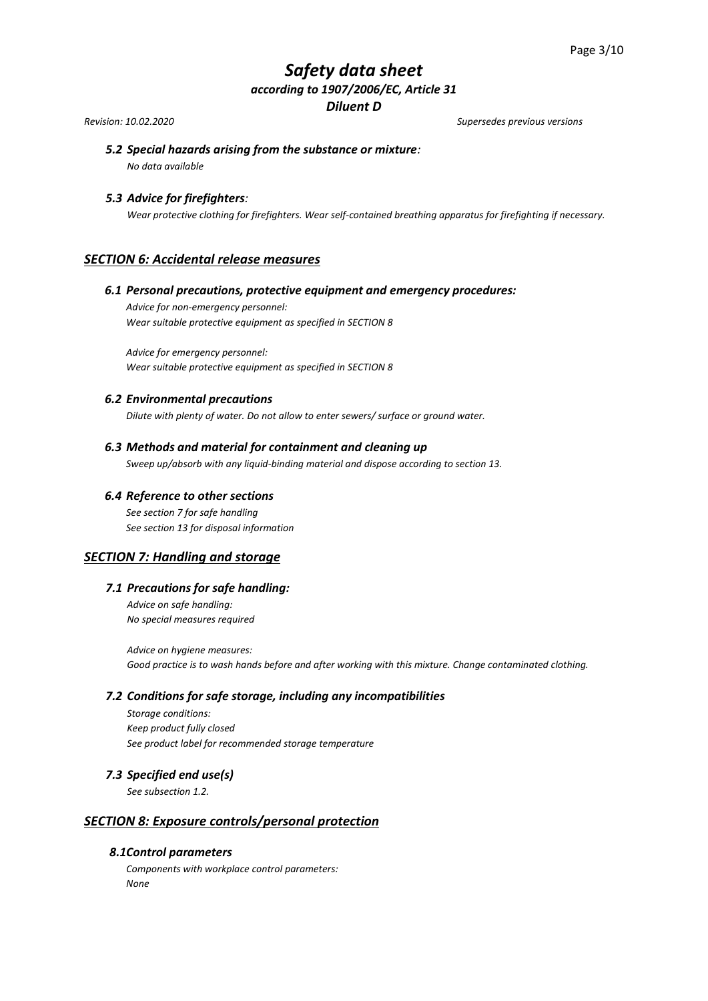*Revision: 10.02.2020 Supersedes previous versions*

# *5.2 Special hazards arising from the substance or mixture:*

*No data available*

## *5.3 Advice for firefighters:*

*Wear protective clothing for firefighters. Wear self-contained breathing apparatus for firefighting if necessary.*

## *SECTION 6: Accidental release measures*

## *6.1 Personal precautions, protective equipment and emergency procedures:*

*Advice for non-emergency personnel: Wear suitable protective equipment as specified in SECTION 8*

*Advice for emergency personnel: Wear suitable protective equipment as specified in SECTION 8* 

## *6.2 Environmental precautions*

*Dilute with plenty of water. Do not allow to enter sewers/ surface or ground water.*

## *6.3 Methods and material for containment and cleaning up*

*Sweep up/absorb with any liquid-binding material and dispose according to section 13.*

## *6.4 Reference to other sections*

*See section 7 for safe handling See section 13 for disposal information*

## *SECTION 7: Handling and storage*

## *7.1 Precautions for safe handling:*

*Advice on safe handling: No special measures required*

*Advice on hygiene measures: Good practice is to wash hands before and after working with this mixture. Change contaminated clothing.*

## *7.2 Conditions for safe storage, including any incompatibilities*

*Storage conditions: Keep product fully closed See product label for recommended storage temperature* 

## *7.3 Specified end use(s)*

*See subsection 1.2.*

## *SECTION 8: Exposure controls/personal protection*

## *8.1Control parameters*

*Components with workplace control parameters: None*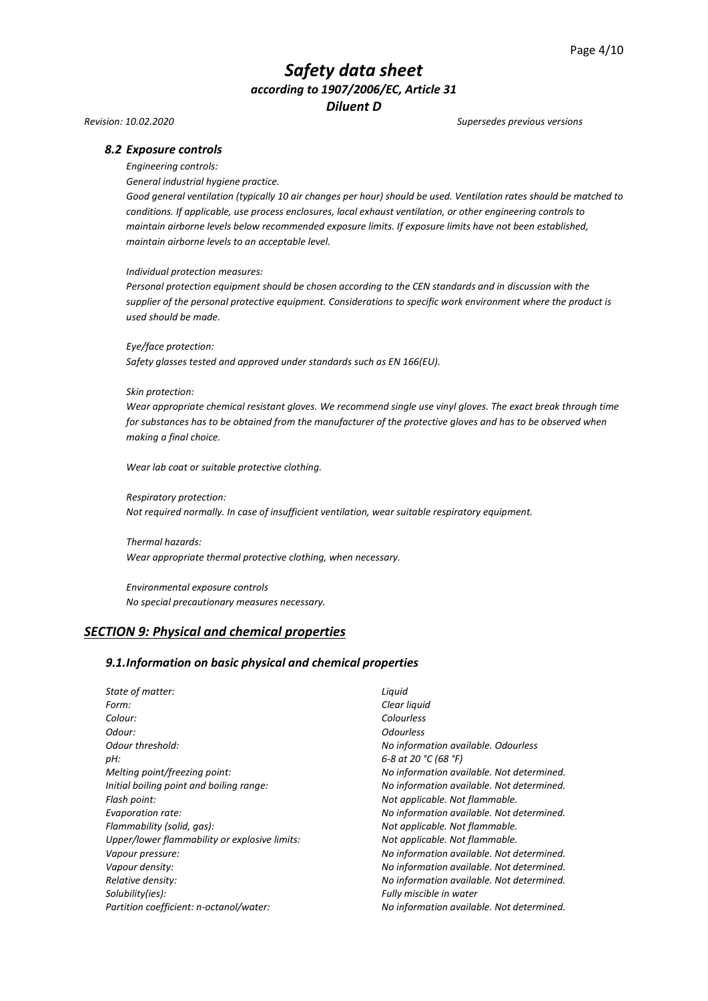#### *Revision: 10.02.2020 Supersedes previous versions*

#### *8.2 Exposure controls*

*Engineering controls:*

*General industrial hygiene practice.*

*Good general ventilation (typically 10 air changes per hour) should be used. Ventilation rates should be matched to conditions. If applicable, use process enclosures, local exhaust ventilation, or other engineering controls to maintain airborne levels below recommended exposure limits. If exposure limits have not been established, maintain airborne levels to an acceptable level.*

#### *Individual protection measures:*

*Personal protection equipment should be chosen according to the CEN standards and in discussion with the supplier of the personal protective equipment. Considerations to specific work environment where the product is used should be made.*

*Eye/face protection:*

*Safety glasses tested and approved under standards such as EN 166(EU).*

#### *Skin protection:*

*Wear appropriate chemical resistant gloves. We recommend single use vinyl gloves. The exact break through time for substances has to be obtained from the manufacturer of the protective gloves and has to be observed when making a final choice.*

*Wear lab coat or suitable protective clothing.*

*Respiratory protection: Not required normally. In case of insufficient ventilation, wear suitable respiratory equipment.*

*Thermal hazards: Wear appropriate thermal protective clothing, when necessary.*

*Environmental exposure controls No special precautionary measures necessary.*

#### *SECTION 9: Physical and chemical properties*

#### *9.1.Information on basic physical and chemical properties*

*State of matter: Liquid Form: Clear liquid Colour: Colourless Odour: Odourless Odour threshold: No information available. Odourless pH: 6-8 at 20 °C (68 °F) Melting point/freezing point: No information available. Not determined. Initial boiling point and boiling range: No information available. Not determined. Flash point: Not applicable. Not flammable. Evaporation rate: No information available. Not determined. Flammability (solid, gas): Not applicable. Not flammable. Upper/lower flammability or explosive limits: Not applicable. Not flammable. Vapour pressure: No information available. Not determined. Vapour density: No information available. Not determined. Relative density: No information available. Not determined. Solubility(ies): Fully miscible in water Partition coefficient: n-octanol/water: No information available. Not determined.*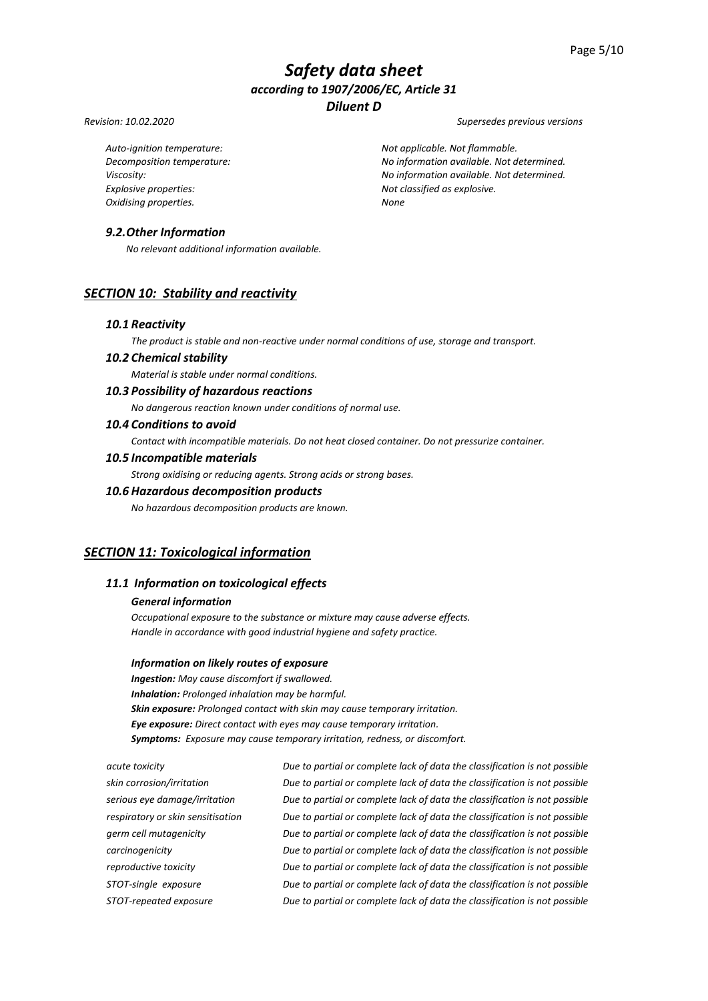#### *Revision: 10.02.2020 Supersedes previous versions*

*Explosive properties: Not classified as explosive. Oxidising properties. None*

*Auto-ignition temperature: Not applicable. Not flammable. Decomposition temperature: No information available. Not determined. Viscosity: No information available. Not determined.*

## *9.2.Other Information*

*No relevant additional information available.*

# *SECTION 10: Stability and reactivity*

#### *10.1 Reactivity*

*The product is stable and non-reactive under normal conditions of use, storage and transport.*

## *10.2 Chemical stability*

*Material is stable under normal conditions.*

## *10.3 Possibility of hazardous reactions*

*No dangerous reaction known under conditions of normal use.*

## *10.4 Conditions to avoid*

*Contact with incompatible materials. Do not heat closed container. Do not pressurize container.*

#### *10.5 Incompatible materials*

*Strong oxidising or reducing agents. Strong acids or strong bases.*

## *10.6 Hazardous decomposition products*

*No hazardous decomposition products are known.*

## *SECTION 11: Toxicological information*

## *11.1 Information on toxicological effects*

#### *General information*

*Occupational exposure to the substance or mixture may cause adverse effects. Handle in accordance with good industrial hygiene and safety practice.*

#### *Information on likely routes of exposure*

*Ingestion: May cause discomfort if swallowed. Inhalation: Prolonged inhalation may be harmful. Skin exposure: Prolonged contact with skin may cause temporary irritation. Eye exposure: Direct contact with eyes may cause temporary irritation. Symptoms: Exposure may cause temporary irritation, redness, or discomfort.*

*acute toxicity Due to partial or complete lack of data the classification is not possible skin corrosion/irritation Due to partial or complete lack of data the classification is not possible serious eye damage/irritation Due to partial or complete lack of data the classification is not possible respiratory or skin sensitisation Due to partial or complete lack of data the classification is not possible germ cell mutagenicity Due to partial or complete lack of data the classification is not possible carcinogenicity Due to partial or complete lack of data the classification is not possible reproductive toxicity Due to partial or complete lack of data the classification is not possible STOT-single exposure Due to partial or complete lack of data the classification is not possible STOT-repeated exposure Due to partial or complete lack of data the classification is not possible*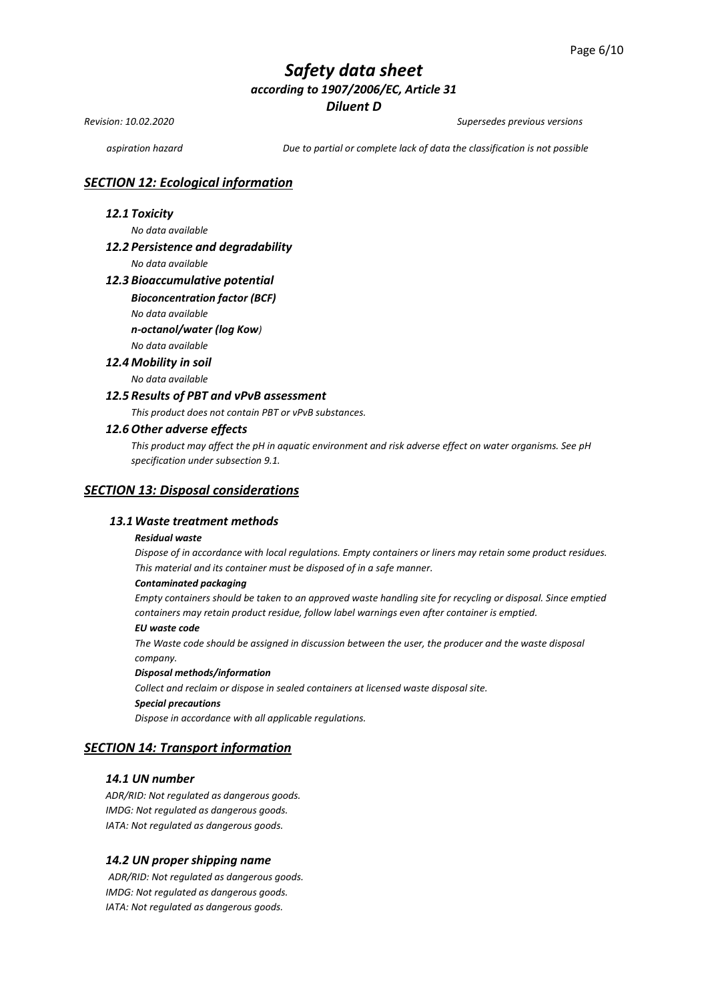*Revision: 10.02.2020 Supersedes previous versions*

*aspiration hazard Due to partial or complete lack of data the classification is not possible*

## *SECTION 12: Ecological information*

#### *12.1 Toxicity*

*No data available* 

#### *12.2 Persistence and degradability*

*No data available*

#### *12.3 Bioaccumulative potential*

#### *Bioconcentration factor (BCF)*

*No data available* 

*n-octanol/water (log Kow)*

## *No data available*

## *12.4 Mobility in soil*

*No data available* 

#### *12.5 Results of PBT and vPvB assessment*

*This product does not contain PBT or vPvB substances.*

#### *12.6 Other adverse effects*

*This product may affect the pH in aquatic environment and risk adverse effect on water organisms. See pH specification under subsection 9.1.*

#### *SECTION 13: Disposal considerations*

#### *13.1Waste treatment methods*

#### *Residual waste*

*Dispose of in accordance with local regulations. Empty containers or liners may retain some product residues. This material and its container must be disposed of in a safe manner.*

#### *Contaminated packaging*

*Empty containers should be taken to an approved waste handling site for recycling or disposal. Since emptied containers may retain product residue, follow label warnings even after container is emptied.*

#### *EU waste code*

*The Waste code should be assigned in discussion between the user, the producer and the waste disposal company.*

#### *Disposal methods/information*

*Collect and reclaim or dispose in sealed containers at licensed waste disposal site. Special precautions*

*Dispose in accordance with all applicable regulations.*

# *SECTION 14: Transport information*

### *14.1 UN number*

*ADR/RID: Not regulated as dangerous goods. IMDG: Not regulated as dangerous goods. IATA: Not regulated as dangerous goods.*

#### *14.2 UN proper shipping name*

*ADR/RID: Not regulated as dangerous goods. IMDG: Not regulated as dangerous goods. IATA: Not regulated as dangerous goods.*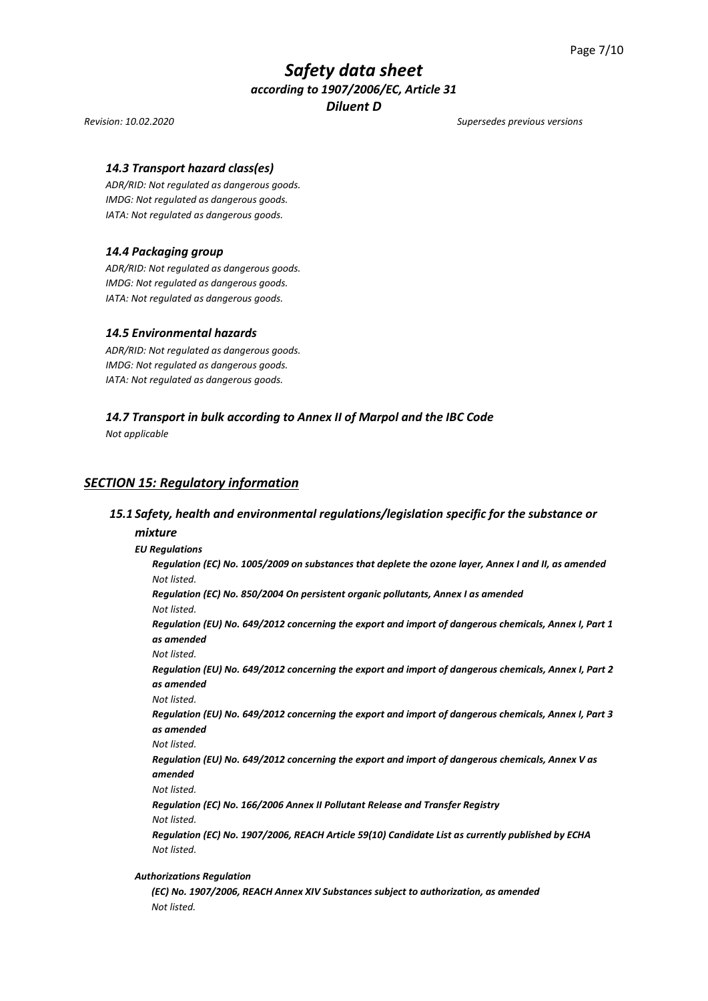#### *Revision: 10.02.2020 Supersedes previous versions*

#### *14.3 Transport hazard class(es)*

*ADR/RID: Not regulated as dangerous goods. IMDG: Not regulated as dangerous goods. IATA: Not regulated as dangerous goods.*

#### *14.4 Packaging group*

*ADR/RID: Not regulated as dangerous goods. IMDG: Not regulated as dangerous goods. IATA: Not regulated as dangerous goods.*

#### *14.5 Environmental hazards*

*ADR/RID: Not regulated as dangerous goods. IMDG: Not regulated as dangerous goods. IATA: Not regulated as dangerous goods.*

#### *14.7 Transport in bulk according to Annex II of Marpol and the IBC Code*

*Not applicable*

#### *SECTION 15: Regulatory information*

#### *15.1 Safety, health and environmental regulations/legislation specific for the substance or*

#### *mixture*

#### *EU Regulations*

*Regulation (EC) No. 1005/2009 on substances that deplete the ozone layer, Annex I and II, as amended Not listed.*

*Regulation (EC) No. 850/2004 On persistent organic pollutants, Annex I as amended Not listed.*

*Regulation (EU) No. 649/2012 concerning the export and import of dangerous chemicals, Annex I, Part 1 as amended* 

*Not listed.*

*Regulation (EU) No. 649/2012 concerning the export and import of dangerous chemicals, Annex I, Part 2 as amended*

*Not listed.*

*Regulation (EU) No. 649/2012 concerning the export and import of dangerous chemicals, Annex I, Part 3 as amended*

*Not listed.*

*Regulation (EU) No. 649/2012 concerning the export and import of dangerous chemicals, Annex V as amended*

*Not listed.*

*Regulation (EC) No. 166/2006 Annex II Pollutant Release and Transfer Registry Not listed.*

*Regulation (EC) No. 1907/2006, REACH Article 59(10) Candidate List as currently published by ECHA Not listed.*

#### *Authorizations Regulation*

*(EC) No. 1907/2006, REACH Annex XIV Substances subject to authorization, as amended Not listed.*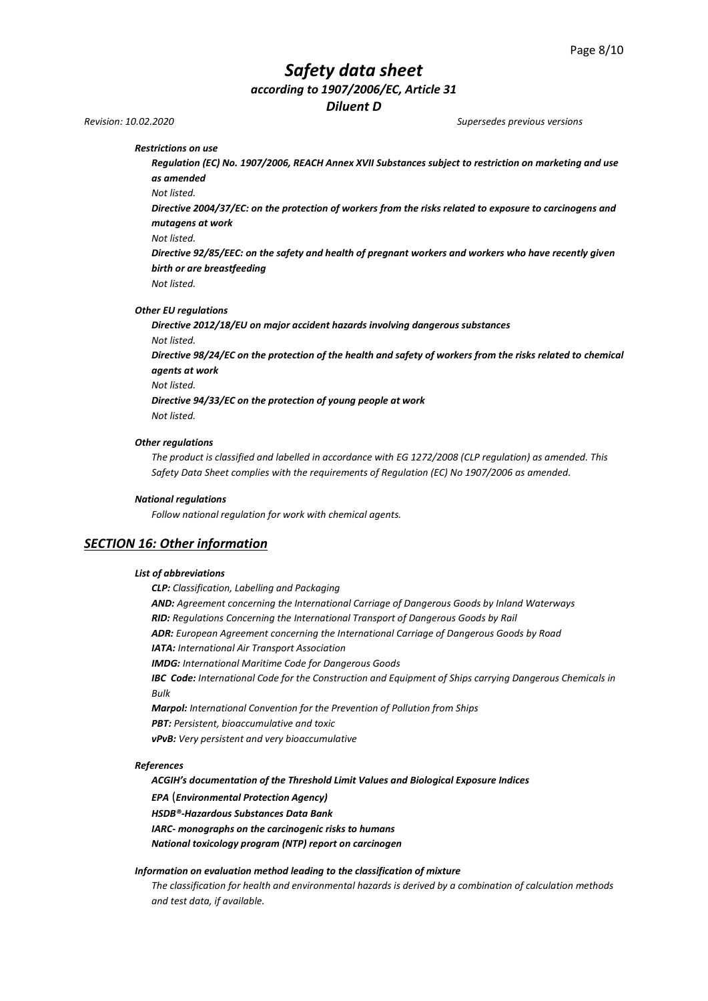# *Safety data sheet*

*according to 1907/2006/EC, Article 31*

*Diluent D*

*Revision: 10.02.2020 Supersedes previous versions*

*Restrictions on use* 

*Regulation (EC) No. 1907/2006, REACH Annex XVII Substances subject to restriction on marketing and use as amended*

*Not listed.*

*Directive 2004/37/EC: on the protection of workers from the risks related to exposure to carcinogens and mutagens at work*

*Not listed.*

*Directive 92/85/EEC: on the safety and health of pregnant workers and workers who have recently given birth or are breastfeeding*

*Not listed.*

*Other EU regulations*

*Directive 2012/18/EU on major accident hazards involving dangerous substances Not listed.* 

*Directive 98/24/EC on the protection of the health and safety of workers from the risks related to chemical agents at work* 

*Not listed.*

*Directive 94/33/EC on the protection of young people at work Not listed.*

*Other regulations*

*The product is classified and labelled in accordance with EG 1272/2008 (CLP regulation) as amended. This Safety Data Sheet complies with the requirements of Regulation (EC) No 1907/2006 as amended.*

#### *National regulations*

*Follow national regulation for work with chemical agents.*

## *SECTION 16: Other information*

#### *List of abbreviations*

*CLP: Classification, Labelling and Packaging AND: Agreement concerning the International Carriage of Dangerous Goods by Inland Waterways RID: Regulations Concerning the International Transport of Dangerous Goods by Rail ADR: European Agreement concerning the International Carriage of Dangerous Goods by Road IATA: International Air Transport Association IMDG: International Maritime Code for Dangerous Goods IBC Code: International Code for the Construction and Equipment of Ships carrying Dangerous Chemicals in Bulk Marpol: International Convention for the Prevention of Pollution from Ships PBT: Persistent, bioaccumulative and toxic vPvB: Very persistent and very bioaccumulative*

#### *References*

*ACGIH's documentation of the Threshold Limit Values and Biological Exposure Indices* 

*EPA* (*Environmental Protection Agency)*

*HSDB®-Hazardous Substances Data Bank*

*IARC- monographs on the carcinogenic risks to humans*

*National toxicology program (NTP) report on carcinogen*

#### *Information on evaluation method leading to the classification of mixture*

*The classification for health and environmental hazards is derived by a combination of calculation methods and test data, if available.*